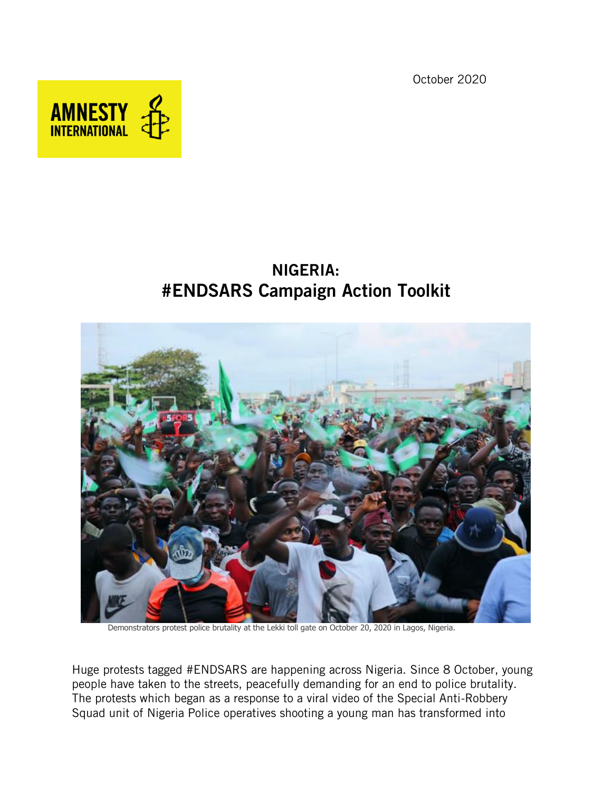October 2020



# NIGERIA: #ENDSARS Campaign Action Toolkit



Demonstrators protest police brutality at the Lekki toll gate on October 20, 2020 in Lagos, Nigeria.

Huge protests tagged #ENDSARS are happening across Nigeria. Since 8 October, young people have taken to the streets, peacefully demanding for an end to police brutality. The protests which began as a response to a viral video of the Special Anti-Robbery Squad unit of Nigeria Police operatives shooting a young man has transformed into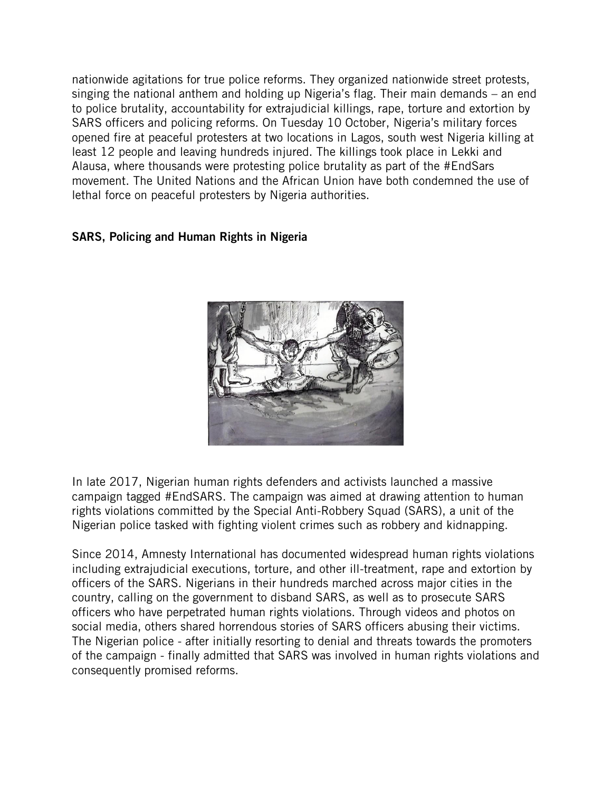nationwide agitations for true police reforms. They organized nationwide street protests, singing the national anthem and holding up Nigeria's flag. Their main demands – an end to police brutality, accountability for extrajudicial killings, rape, torture and extortion by SARS officers and policing reforms. On Tuesday 10 October, Nigeria's military forces opened fire at peaceful protesters at two locations in Lagos, south west Nigeria killing at least 12 people and leaving hundreds injured. The killings took place in Lekki and Alausa, where thousands were protesting police brutality as part of the #EndSars movement. The United Nations and the African Union have both condemned the use of lethal force on peaceful protesters by Nigeria authorities.

### SARS, Policing and Human Rights in Nigeria



In late 2017, Nigerian human rights defenders and activists launched a massive campaign tagged #EndSARS. The campaign was aimed at drawing attention to human rights violations committed by the Special Anti-Robbery Squad (SARS), a unit of the Nigerian police tasked with fighting violent crimes such as robbery and kidnapping.

Since 2014, Amnesty International has documented widespread human rights violations including extrajudicial executions, torture, and other ill-treatment, rape and extortion by officers of the SARS. Nigerians in their hundreds marched across major cities in the country, calling on the government to disband SARS, as well as to prosecute SARS officers who have perpetrated human rights violations. Through videos and photos on social media, others shared horrendous stories of SARS officers abusing their victims. The Nigerian police - after initially resorting to denial and threats towards the promoters of the campaign - finally admitted that SARS was involved in human rights violations and consequently promised reforms.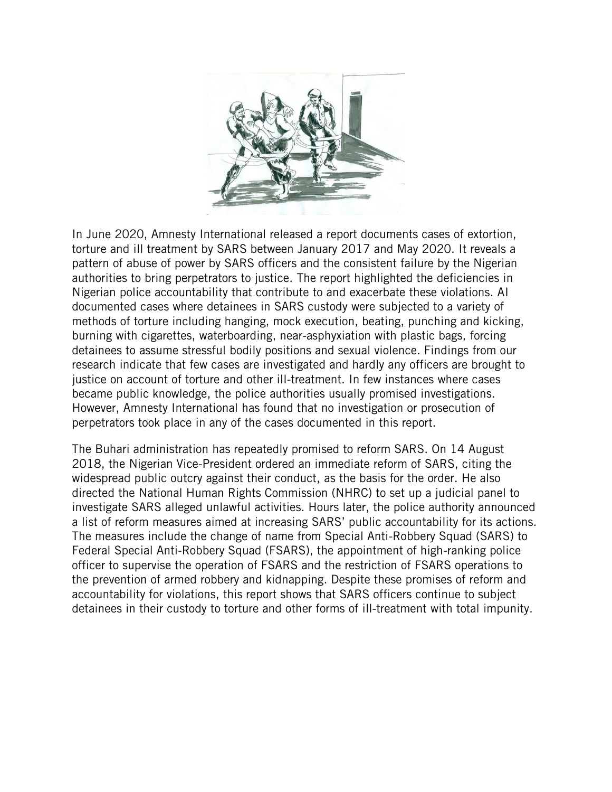

In June 2020, Amnesty International released a report documents cases of extortion, torture and ill treatment by SARS between January 2017 and May 2020. It reveals a pattern of abuse of power by SARS officers and the consistent failure by the Nigerian authorities to bring perpetrators to justice. The report highlighted the deficiencies in Nigerian police accountability that contribute to and exacerbate these violations. AI documented cases where detainees in SARS custody were subjected to a variety of methods of torture including hanging, mock execution, beating, punching and kicking, burning with cigarettes, waterboarding, near-asphyxiation with plastic bags, forcing detainees to assume stressful bodily positions and sexual violence. Findings from our research indicate that few cases are investigated and hardly any officers are brought to justice on account of torture and other ill-treatment. In few instances where cases became public knowledge, the police authorities usually promised investigations. However, Amnesty International has found that no investigation or prosecution of perpetrators took place in any of the cases documented in this report.

The Buhari administration has repeatedly promised to reform SARS. On 14 August 2018, the Nigerian Vice-President ordered an immediate reform of SARS, citing the widespread public outcry against their conduct, as the basis for the order. He also directed the National Human Rights Commission (NHRC) to set up a judicial panel to investigate SARS alleged unlawful activities. Hours later, the police authority announced a list of reform measures aimed at increasing SARS' public accountability for its actions. The measures include the change of name from Special Anti-Robbery Squad (SARS) to Federal Special Anti-Robbery Squad (FSARS), the appointment of high-ranking police officer to supervise the operation of FSARS and the restriction of FSARS operations to the prevention of armed robbery and kidnapping. Despite these promises of reform and accountability for violations, this report shows that SARS officers continue to subject detainees in their custody to torture and other forms of ill-treatment with total impunity.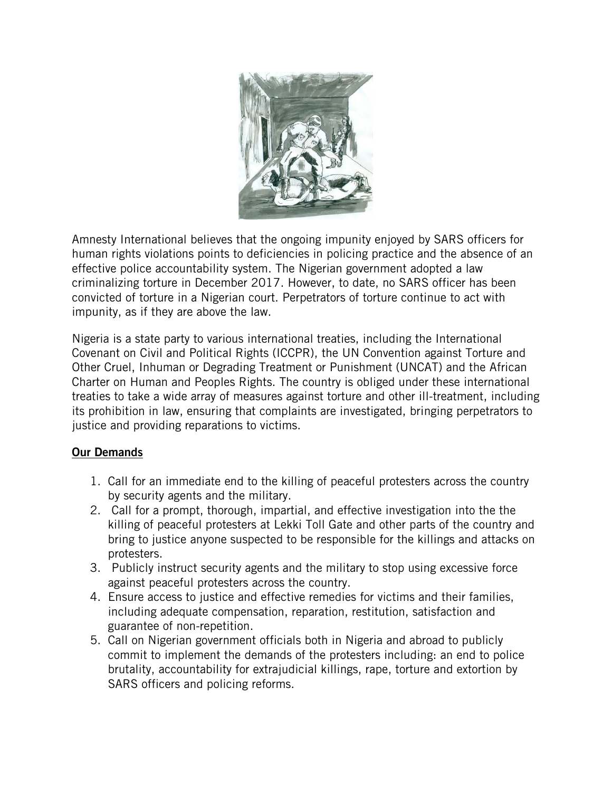

Amnesty International believes that the ongoing impunity enjoyed by SARS officers for human rights violations points to deficiencies in policing practice and the absence of an effective police accountability system. The Nigerian government adopted a law criminalizing torture in December 2017. However, to date, no SARS officer has been convicted of torture in a Nigerian court. Perpetrators of torture continue to act with impunity, as if they are above the law.

Nigeria is a state party to various international treaties, including the International Covenant on Civil and Political Rights (ICCPR), the UN Convention against Torture and Other Cruel, Inhuman or Degrading Treatment or Punishment (UNCAT) and the African Charter on Human and Peoples Rights. The country is obliged under these international treaties to take a wide array of measures against torture and other ill-treatment, including its prohibition in law, ensuring that complaints are investigated, bringing perpetrators to justice and providing reparations to victims.

# Our Demands

- 1. Call for an immediate end to the killing of peaceful protesters across the country by security agents and the military.
- 2. Call for a prompt, thorough, impartial, and effective investigation into the the killing of peaceful protesters at Lekki Toll Gate and other parts of the country and bring to justice anyone suspected to be responsible for the killings and attacks on protesters.
- 3. Publicly instruct security agents and the military to stop using excessive force against peaceful protesters across the country.
- 4. Ensure access to justice and effective remedies for victims and their families, including adequate compensation, reparation, restitution, satisfaction and guarantee of non-repetition.
- 5. Call on Nigerian government officials both in Nigeria and abroad to publicly commit to implement the demands of the protesters including: an end to police brutality, accountability for extrajudicial killings, rape, torture and extortion by SARS officers and policing reforms.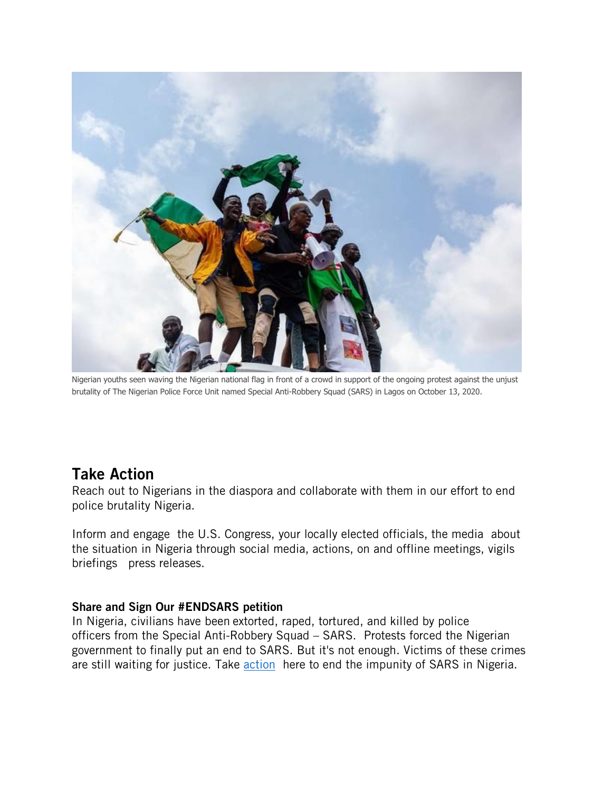

Nigerian youths seen waving the Nigerian national flag in front of a crowd in support of the ongoing protest against the unjust brutality of The Nigerian Police Force Unit named Special Anti-Robbery Squad (SARS) in Lagos on October 13, 2020.

# Take Action

Reach out to Nigerians in the diaspora and collaborate with them in our effort to end police brutality Nigeria.

Inform and engage the U.S. Congress, your locally elected officials, the media about the situation in Nigeria through social media, actions, on and offline meetings, vigils briefings press releases.

#### Share and Sign Our #ENDSARS petition

In Nigeria, civilians have been extorted, raped, tortured, and killed by police officers from the Special Anti-Robbery Squad – SARS. Protests forced the Nigerian government to finally put an end to SARS. But it's not enough. Victims of these crimes are still waiting for justice. Take **action** here to end the impunity of SARS in Nigeria.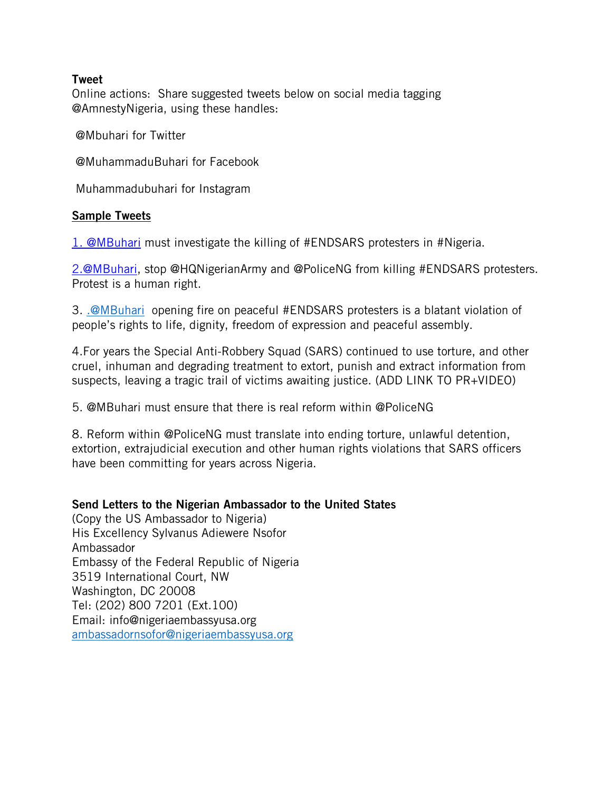#### Tweet

Online actions: Share suggested tweets below on social media tagging @AmnestyNigeria, using these handles:

@Mbuhari for Twitter

@MuhammaduBuhari for Facebook

Muhammadubuhari for Instagram

#### Sample Tweets

[1. @MBuhari](mailto:1.@MBuhari) must investigate the killing of #ENDSARS protesters in #Nigeria.

[2.@MBuhari,](mailto:2.@MBuhari) stop @HQNigerianArmy and @PoliceNG from killing #ENDSARS protesters. Protest is a human right.

3. [.@MBuhari](mailto:.@MBuhari) opening fire on peaceful #ENDSARS protesters is a blatant violation of people's rights to life, dignity, freedom of expression and peaceful assembly.

4.For years the Special Anti-Robbery Squad (SARS) continued to use torture, and other cruel, inhuman and degrading treatment to extort, punish and extract information from suspects, leaving a tragic trail of victims awaiting justice. (ADD LINK TO PR+VIDEO)

5. @MBuhari must ensure that there is real reform within @PoliceNG

8. Reform within @PoliceNG must translate into ending torture, unlawful detention, extortion, extrajudicial execution and other human rights violations that SARS officers have been committing for years across Nigeria.

#### Send Letters to the Nigerian Ambassador to the United States

(Copy the US Ambassador to Nigeria) His Excellency Sylvanus Adiewere Nsofor Ambassador Embassy of the Federal Republic of Nigeria 3519 International Court, NW Washington, DC 20008 Tel: (202) 800 7201 (Ext.100) Email: info@nigeriaembassyusa.org [ambassadornsofor@nigeriaembassyusa.org](mailto:ambassadornsofor@nigeriaembassyusa.org)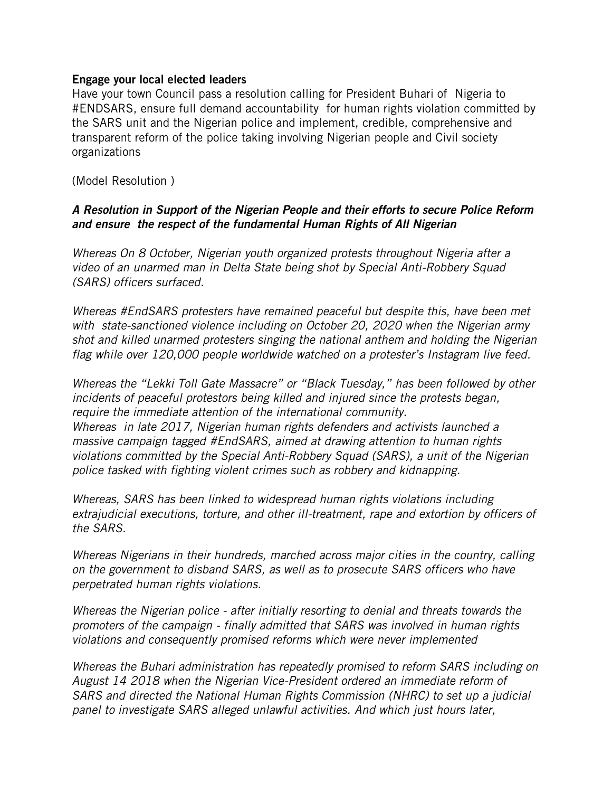#### Engage your local elected leaders

Have your town Council pass a resolution calling for President Buhari of Nigeria to #ENDSARS, ensure full demand accountability for human rights violation committed by the SARS unit and the Nigerian police and implement, credible, comprehensive and transparent reform of the police taking involving Nigerian people and Civil society organizations

(Model Resolution )

# *A Resolution in Support of the Nigerian People and their efforts to secure Police Reform and ensure the respect of the fundamental Human Rights of All Nigerian*

*Whereas On 8 October, Nigerian youth organized protests throughout Nigeria after a video of an unarmed man in Delta State being shot by Special Anti-Robbery Squad (SARS) officers surfaced.* 

*Whereas #EndSARS protesters have remained peaceful but despite this, have been met with state-sanctioned violence including on October 20, 2020 when the Nigerian army shot and killed unarmed protesters singing the national anthem and holding the Nigerian flag while over 120,000 people worldwide watched on a protester's Instagram live feed.* 

*Whereas the "Lekki Toll Gate Massacre" or "Black Tuesday," has been followed by other incidents of peaceful protestors being killed and injured since the protests began, require the immediate attention of the international community. Whereas in late 2017, Nigerian human rights defenders and activists launched a massive campaign tagged #EndSARS, aimed at drawing attention to human rights violations committed by the Special Anti-Robbery Squad (SARS), a unit of the Nigerian police tasked with fighting violent crimes such as robbery and kidnapping.* 

*Whereas, SARS has been linked to widespread human rights violations including extrajudicial executions, torture, and other ill-treatment, rape and extortion by officers of the SARS.* 

*Whereas Nigerians in their hundreds, marched across major cities in the country, calling on the government to disband SARS, as well as to prosecute SARS officers who have perpetrated human rights violations.* 

*Whereas the Nigerian police - after initially resorting to denial and threats towards the promoters of the campaign - finally admitted that SARS was involved in human rights violations and consequently promised reforms which were never implemented*

*Whereas the Buhari administration has repeatedly promised to reform SARS including on August 14 2018 when the Nigerian Vice-President ordered an immediate reform of SARS and directed the National Human Rights Commission (NHRC) to set up a judicial panel to investigate SARS alleged unlawful activities. And which just hours later,*